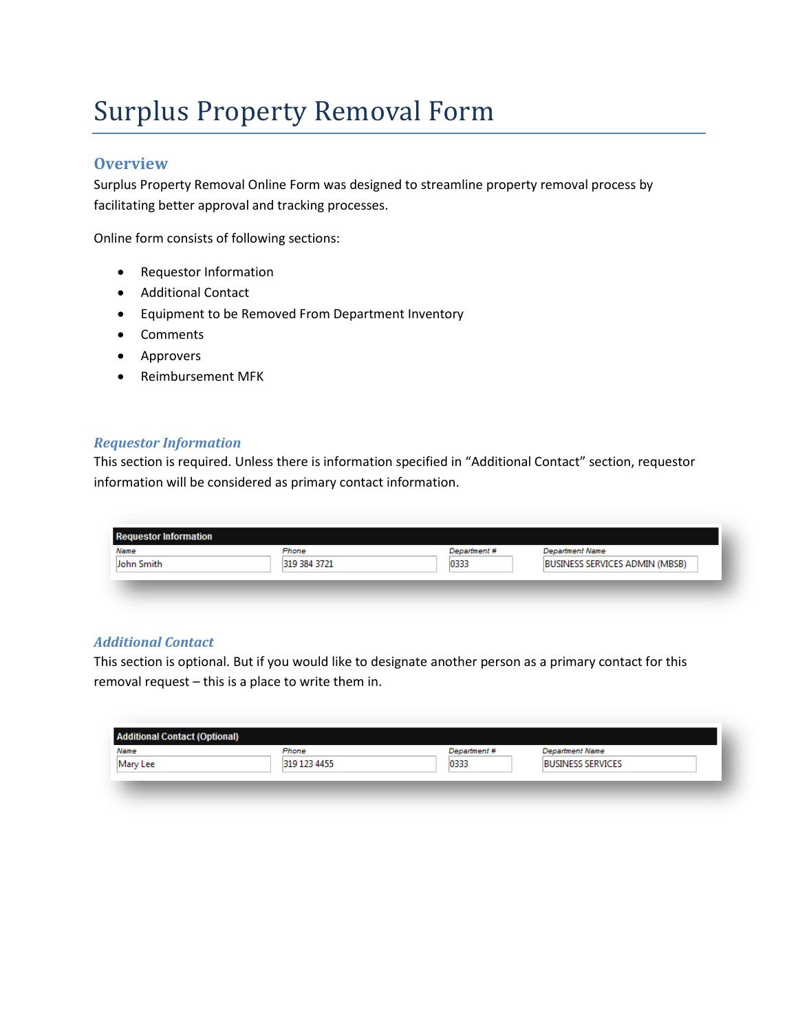# Surplus Property Removal Form

## **Overview**

Surplus Property Removal Online Form was designed to streamline property removal process by facilitating better approval and tracking processes.

Online form consists of following sections:

- Requestor Information
- Additional Contact
- Equipment to be Removed From Department Inventory
- Comments
- Approvers
- Reimbursement MFK

#### *Requestor Information*

This section is required. Unless there is information specified in "Additional Contact" section, requestor information will be considered as primary contact information.

| Name       | Phone        | Department # | <b>Department Name</b>                |
|------------|--------------|--------------|---------------------------------------|
| John Smith | 319 384 3721 | 0333         | <b>BUSINESS SERVICES ADMIN (MBSB)</b> |

## *Additional Contact*

This section is optional. But if you would like to designate another person as a primary contact for this removal request – this is a place to write them in.

| Name     | Phone        | Department # | <b>Department Name</b>   |  |
|----------|--------------|--------------|--------------------------|--|
| Mary Lee | 319 123 4455 | 0333         | <b>BUSINESS SERVICES</b> |  |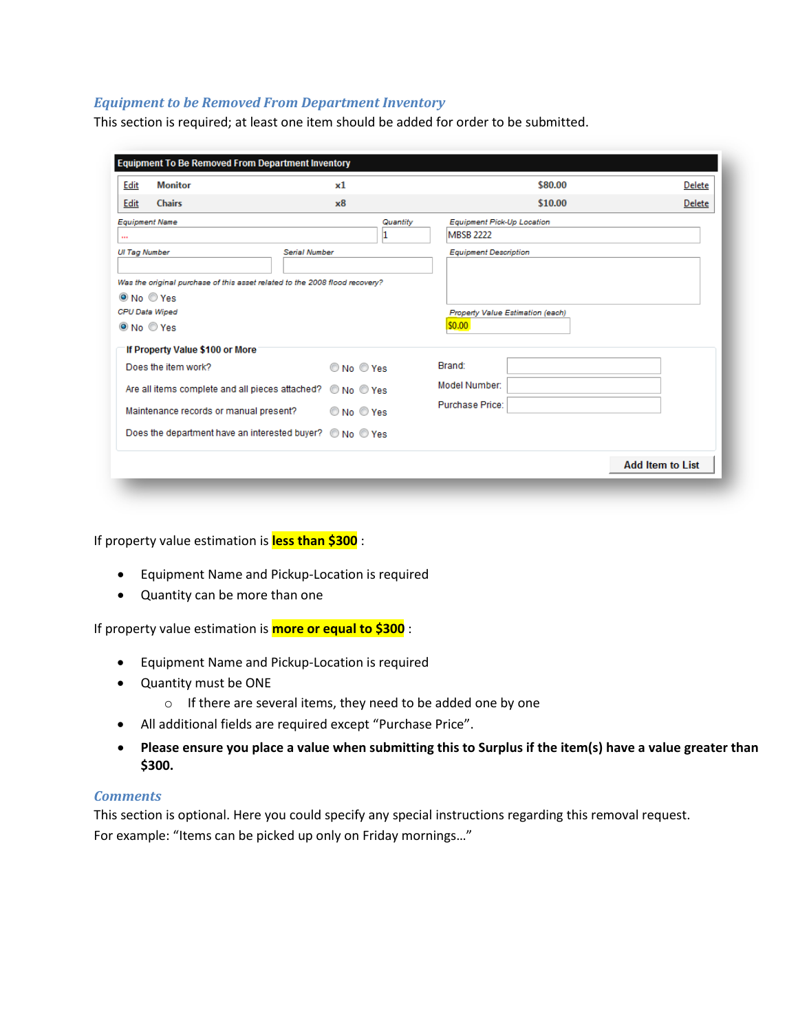### *Equipment to be Removed From Department Inventory*

This section is required; at least one item should be added for order to be submitted.

| Edit                 | <b>Monitor</b>                                                                     | x1         | \$80.00                                 | Delete                  |
|----------------------|------------------------------------------------------------------------------------|------------|-----------------------------------------|-------------------------|
| Edit                 | <b>Chairs</b>                                                                      | x8         | \$10.00                                 | Delete                  |
|                      | <b>Equipment Name</b>                                                              | Quantity   | <b>Equipment Pick-Up Location</b>       |                         |
| $\cdots$             |                                                                                    |            | <b>MBSB 2222</b>                        |                         |
| <b>UI Tag Number</b> | <b>Serial Number</b>                                                               |            | <b>Equipment Description</b>            |                         |
|                      | Was the original purchase of this asset related to the 2008 flood recovery?        |            |                                         |                         |
|                      | $@$ No $@$ Yes                                                                     |            |                                         |                         |
|                      | CPU Data Wiped                                                                     |            | <b>Property Value Estimation (each)</b> |                         |
|                      | $\odot$ No $\odot$ Yes                                                             |            | \$0.00                                  |                         |
|                      | If Property Value \$100 or More                                                    |            |                                         |                         |
|                      | Does the item work?                                                                | O No O Yes | Brand:                                  |                         |
|                      | Are all items complete and all pieces attached?                                    | O No O Yes | Model Number:                           |                         |
|                      | Maintenance records or manual present?                                             | No Yes     | Purchase Price:                         |                         |
|                      | Does the department have an interested buyer? $\circledcirc$ No $\circledcirc$ Yes |            |                                         |                         |
|                      |                                                                                    |            |                                         | <b>Add Item to List</b> |

If property value estimation is **less than \$300** :

- Equipment Name and Pickup-Location is required
- Quantity can be more than one

If property value estimation is **more or equal to \$300** :

- Equipment Name and Pickup-Location is required
- Quantity must be ONE
	- o If there are several items, they need to be added one by one
- All additional fields are required except "Purchase Price".
- **Please ensure you place a value when submitting this to Surplus if the item(s) have a value greater than \$300.**

#### *Comments*

This section is optional. Here you could specify any special instructions regarding this removal request. For example: "Items can be picked up only on Friday mornings…"